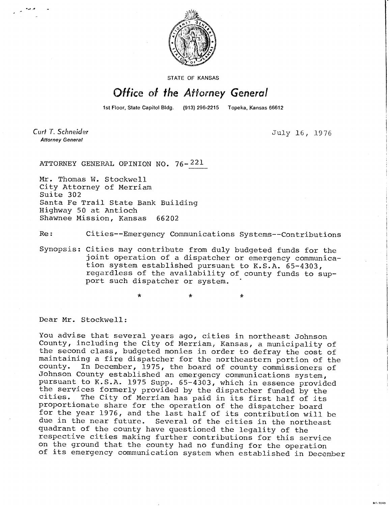

STATE OF KANSAS

## Office of the Attorney General

1st Floor, State Capitol Bldg. (913) 296-2215 Topeka, Kansas 66612

Curt T. Schneider **Attorney General** 

July 16, 1976

**MI-1043** 

ATTORNEY GENERAL OPINION NO. 76- 221

Mr. Thomas W. Stockwell City Attorney of Merriam Suite 302 Santa Fe Trail State Bank Building Highway 50 at Antioch Shawnee Mission, Kansas 66202

Re: Cities--Emergency Communications Systems--Contributions

Synopsis: Cities may contribute from duly budgeted funds for the joint operation of a dispatcher or emergency communication system established pursuant to K.S.A. 65-4303, regardless of the availability of county funds to support such dispatcher or system.

Dear Mr. Stockwell:

You advise that several years ago, cities in northeast Johnson County, including the City of Merriam, Kansas, a municipality of the second class, budgeted monies in order to defray the cost of maintaining a fire dispatcher for the northeastern portion of the county. In December, 1975, the board of county commissioners of In December, 1975, the board of county commissioners of Johnson County established an emergency communications system, pursuant to K.S.A. 1975 Supp. 65-4303, which in essence provided the services formerly provided by the dispatcher funded by the cities. The City of Merriam has paid in its first half of its The City of Merriam has paid in its first half of its proportionate share for the operation of the dispatcher board for the year 1976, and the last half of its contribution will be due in the near future. Several of the cities in the northeast quadrant of the county have questioned the legality of the respective cities making further contributions for this service on the ground that the county had no funding for the operation of its emergency communication system when established in December